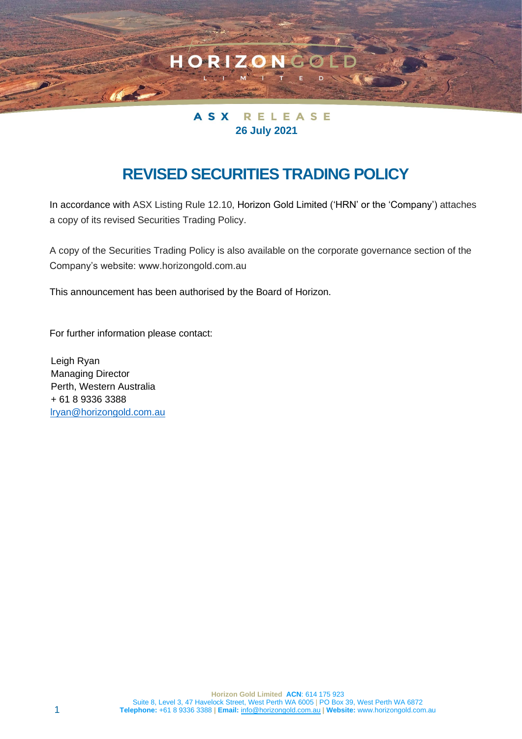

HORIZO

# **REVISED SECURITIES TRADING POLICY**

In accordance with ASX Listing Rule 12.10, Horizon Gold Limited ('HRN' or the 'Company') attaches a copy of its revised Securities Trading Policy.

A copy of the Securities Trading Policy is also available on the corporate governance section of the Company's website: www.horizongold.com.au

This announcement has been authorised by the Board of Horizon.

For further information please contact:

Leigh Ryan Managing Director Perth, Western Australia + 61 8 9336 3388 [lryan@horizongold.com.au](mailto:lryan@horizongold.com.au)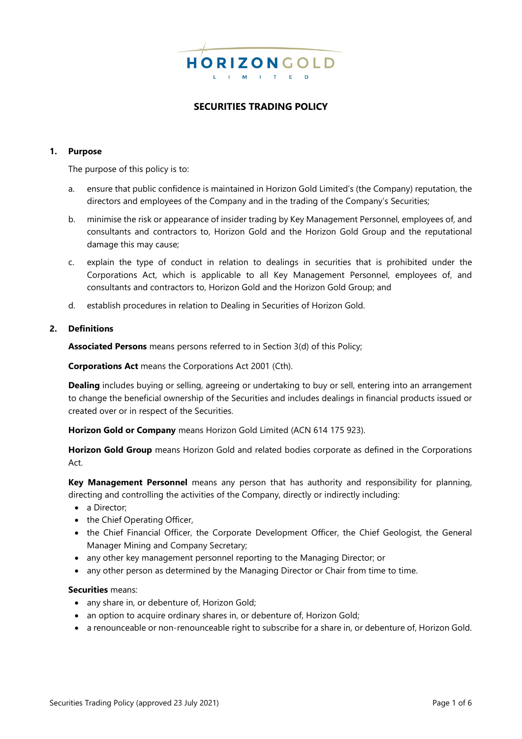

# **SECURITIES TRADING POLICY**

## **1. Purpose**

The purpose of this policy is to:

- a. ensure that public confidence is maintained in Horizon Gold Limited's (the Company) reputation, the directors and employees of the Company and in the trading of the Company's Securities;
- b. minimise the risk or appearance of insider trading by Key Management Personnel, employees of, and consultants and contractors to, Horizon Gold and the Horizon Gold Group and the reputational damage this may cause;
- c. explain the type of conduct in relation to dealings in securities that is prohibited under the Corporations Act, which is applicable to all Key Management Personnel, employees of, and consultants and contractors to, Horizon Gold and the Horizon Gold Group; and
- d. establish procedures in relation to Dealing in Securities of Horizon Gold.

#### **2. Definitions**

**Associated Persons** means persons referred to in Section 3(d) of this Policy;

**Corporations Act** means the Corporations Act 2001 (Cth).

**Dealing** includes buying or selling, agreeing or undertaking to buy or sell, entering into an arrangement to change the beneficial ownership of the Securities and includes dealings in financial products issued or created over or in respect of the Securities.

**Horizon Gold or Company** means Horizon Gold Limited (ACN 614 175 923).

**Horizon Gold Group** means Horizon Gold and related bodies corporate as defined in the Corporations Act.

**Key Management Personnel** means any person that has authority and responsibility for planning, directing and controlling the activities of the Company, directly or indirectly including:

- a Director:
- the Chief Operating Officer,
- the Chief Financial Officer, the Corporate Development Officer, the Chief Geologist, the General Manager Mining and Company Secretary;
- any other key management personnel reporting to the Managing Director; or
- any other person as determined by the Managing Director or Chair from time to time.

#### **Securities** means:

- any share in, or debenture of, Horizon Gold;
- an option to acquire ordinary shares in, or debenture of, Horizon Gold;
- a renounceable or non-renounceable right to subscribe for a share in, or debenture of, Horizon Gold.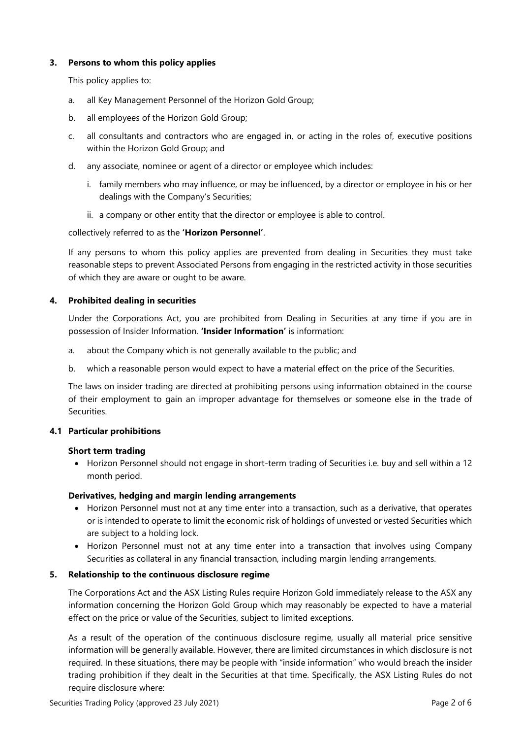# **3. Persons to whom this policy applies**

This policy applies to:

- a. all Key Management Personnel of the Horizon Gold Group;
- b. all employees of the Horizon Gold Group;
- c. all consultants and contractors who are engaged in, or acting in the roles of, executive positions within the Horizon Gold Group; and
- d. any associate, nominee or agent of a director or employee which includes:
	- i. family members who may influence, or may be influenced, by a director or employee in his or her dealings with the Company's Securities;
	- ii. a company or other entity that the director or employee is able to control.

# collectively referred to as the **'Horizon Personnel'**.

If any persons to whom this policy applies are prevented from dealing in Securities they must take reasonable steps to prevent Associated Persons from engaging in the restricted activity in those securities of which they are aware or ought to be aware.

# **4. Prohibited dealing in securities**

Under the Corporations Act, you are prohibited from Dealing in Securities at any time if you are in possession of Insider Information. **'Insider Information'** is information:

- a. about the Company which is not generally available to the public; and
- b. which a reasonable person would expect to have a material effect on the price of the Securities.

The laws on insider trading are directed at prohibiting persons using information obtained in the course of their employment to gain an improper advantage for themselves or someone else in the trade of **Securities** 

## **4.1 Particular prohibitions**

## **Short term trading**

• Horizon Personnel should not engage in short-term trading of Securities i.e. buy and sell within a 12 month period.

# **Derivatives, hedging and margin lending arrangements**

- Horizon Personnel must not at any time enter into a transaction, such as a derivative, that operates or is intended to operate to limit the economic risk of holdings of unvested or vested Securities which are subject to a holding lock.
- Horizon Personnel must not at any time enter into a transaction that involves using Company Securities as collateral in any financial transaction, including margin lending arrangements.

# **5. Relationship to the continuous disclosure regime**

The Corporations Act and the ASX Listing Rules require Horizon Gold immediately release to the ASX any information concerning the Horizon Gold Group which may reasonably be expected to have a material effect on the price or value of the Securities, subject to limited exceptions.

As a result of the operation of the continuous disclosure regime, usually all material price sensitive information will be generally available. However, there are limited circumstances in which disclosure is not required. In these situations, there may be people with "inside information" who would breach the insider trading prohibition if they dealt in the Securities at that time. Specifically, the ASX Listing Rules do not require disclosure where: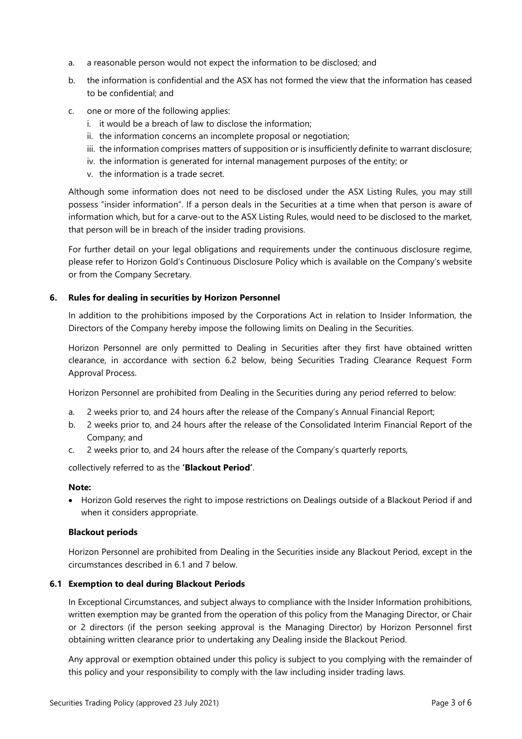- a. a reasonable person would not expect the information to be disclosed; and
- b. the information is confidential and the ASX has not formed the view that the information has ceased to be confidential; and
- c. one or more of the following applies:
	- i. it would be a breach of law to disclose the information;
	- ii. the information concerns an incomplete proposal or negotiation;
	- iii. the information comprises matters of supposition or is insufficiently definite to warrant disclosure;
	- iv. the information is generated for internal management purposes of the entity; or
	- v. the information is a trade secret.

Although some information does not need to be disclosed under the ASX Listing Rules, you may still possess "insider information". If a person deals in the Securities at a time when that person is aware of information which, but for a carve-out to the ASX Listing Rules, would need to be disclosed to the market, that person will be in breach of the insider trading provisions.

For further detail on your legal obligations and requirements under the continuous disclosure regime, please refer to Horizon Gold's Continuous Disclosure Policy which is available on the Company's website or from the Company Secretary.

#### **6. Rules for dealing in securities by Horizon Personnel**

In addition to the prohibitions imposed by the Corporations Act in relation to Insider Information, the Directors of the Company hereby impose the following limits on Dealing in the Securities.

Horizon Personnel are only permitted to Dealing in Securities after they first have obtained written clearance, in accordance with section 6.2 below, being Securities Trading Clearance Request Form Approval Process.

Horizon Personnel are prohibited from Dealing in the Securities during any period referred to below:

- a. 2 weeks prior to, and 24 hours after the release of the Company's Annual Financial Report;
- b. 2 weeks prior to, and 24 hours after the release of the Consolidated Interim Financial Report of the Company; and
- c. 2 weeks prior to, and 24 hours after the release of the Company's quarterly reports,

collectively referred to as the **'Blackout Period'**.

#### **Note:**

• Horizon Gold reserves the right to impose restrictions on Dealings outside of a Blackout Period if and when it considers appropriate.

#### **Blackout periods**

Horizon Personnel are prohibited from Dealing in the Securities inside any Blackout Period, except in the circumstances described in 6.1 and 7 below.

#### **6.1 Exemption to deal during Blackout Periods**

In Exceptional Circumstances, and subject always to compliance with the Insider Information prohibitions, written exemption may be granted from the operation of this policy from the Managing Director, or Chair or 2 directors (if the person seeking approval is the Managing Director) by Horizon Personnel first obtaining written clearance prior to undertaking any Dealing inside the Blackout Period.

Any approval or exemption obtained under this policy is subject to you complying with the remainder of this policy and your responsibility to comply with the law including insider trading laws.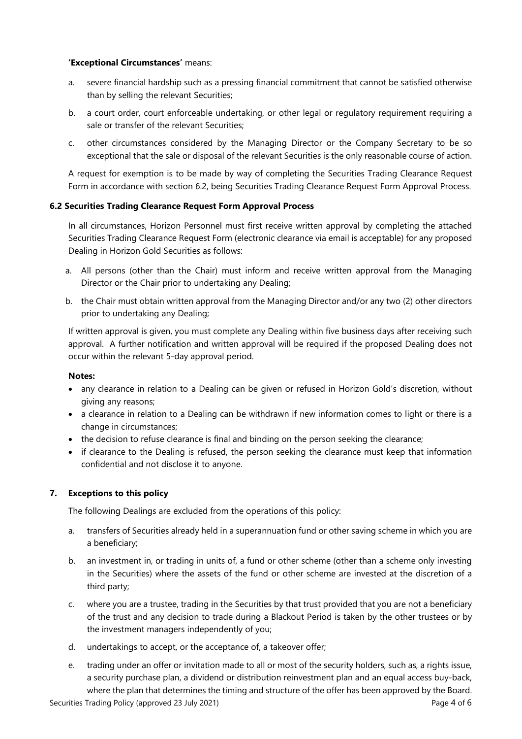# **'Exceptional Circumstances'** means:

- a. severe financial hardship such as a pressing financial commitment that cannot be satisfied otherwise than by selling the relevant Securities;
- b. a court order, court enforceable undertaking, or other legal or regulatory requirement requiring a sale or transfer of the relevant Securities;
- c. other circumstances considered by the Managing Director or the Company Secretary to be so exceptional that the sale or disposal of the relevant Securities is the only reasonable course of action.

A request for exemption is to be made by way of completing the Securities Trading Clearance Request Form in accordance with section 6.2, being Securities Trading Clearance Request Form Approval Process.

# **6.2 Securities Trading Clearance Request Form Approval Process**

In all circumstances, Horizon Personnel must first receive written approval by completing the attached Securities Trading Clearance Request Form (electronic clearance via email is acceptable) for any proposed Dealing in Horizon Gold Securities as follows:

- a. All persons (other than the Chair) must inform and receive written approval from the Managing Director or the Chair prior to undertaking any Dealing;
- b. the Chair must obtain written approval from the Managing Director and/or any two (2) other directors prior to undertaking any Dealing;

If written approval is given, you must complete any Dealing within five business days after receiving such approval. A further notification and written approval will be required if the proposed Dealing does not occur within the relevant 5-day approval period.

## **Notes:**

- any clearance in relation to a Dealing can be given or refused in Horizon Gold's discretion, without giving any reasons;
- a clearance in relation to a Dealing can be withdrawn if new information comes to light or there is a change in circumstances;
- the decision to refuse clearance is final and binding on the person seeking the clearance;
- if clearance to the Dealing is refused, the person seeking the clearance must keep that information confidential and not disclose it to anyone.

# **7. Exceptions to this policy**

The following Dealings are excluded from the operations of this policy:

- a. transfers of Securities already held in a superannuation fund or other saving scheme in which you are a beneficiary;
- b. an investment in, or trading in units of, a fund or other scheme (other than a scheme only investing in the Securities) where the assets of the fund or other scheme are invested at the discretion of a third party;
- c. where you are a trustee, trading in the Securities by that trust provided that you are not a beneficiary of the trust and any decision to trade during a Blackout Period is taken by the other trustees or by the investment managers independently of you;
- d. undertakings to accept, or the acceptance of, a takeover offer;
- Securities Trading Policy (approved 23 July 2021) Securities Trading Page 4 of 6 e. trading under an offer or invitation made to all or most of the security holders, such as, a rights issue, a security purchase plan, a dividend or distribution reinvestment plan and an equal access buy-back, where the plan that determines the timing and structure of the offer has been approved by the Board.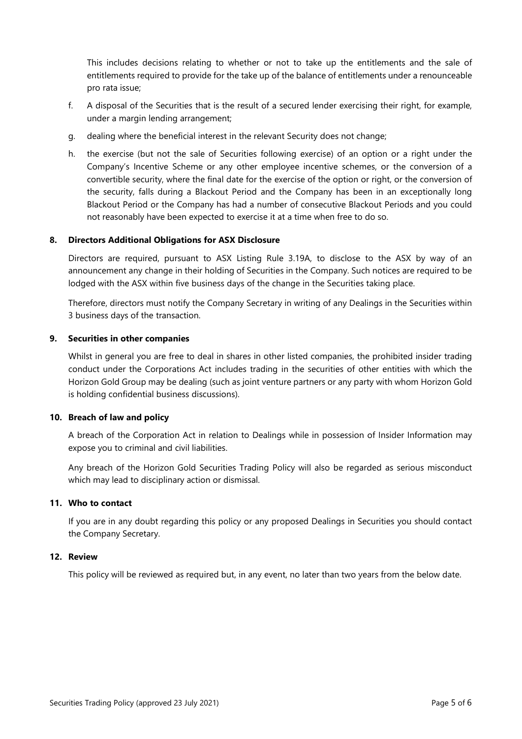This includes decisions relating to whether or not to take up the entitlements and the sale of entitlements required to provide for the take up of the balance of entitlements under a renounceable pro rata issue;

- f. A disposal of the Securities that is the result of a secured lender exercising their right, for example, under a margin lending arrangement;
- g. dealing where the beneficial interest in the relevant Security does not change;
- h. the exercise (but not the sale of Securities following exercise) of an option or a right under the Company's Incentive Scheme or any other employee incentive schemes, or the conversion of a convertible security, where the final date for the exercise of the option or right, or the conversion of the security, falls during a Blackout Period and the Company has been in an exceptionally long Blackout Period or the Company has had a number of consecutive Blackout Periods and you could not reasonably have been expected to exercise it at a time when free to do so.

#### **8. Directors Additional Obligations for ASX Disclosure**

Directors are required, pursuant to ASX Listing Rule 3.19A, to disclose to the ASX by way of an announcement any change in their holding of Securities in the Company. Such notices are required to be lodged with the ASX within five business days of the change in the Securities taking place.

Therefore, directors must notify the Company Secretary in writing of any Dealings in the Securities within 3 business days of the transaction.

#### **9. Securities in other companies**

Whilst in general you are free to deal in shares in other listed companies, the prohibited insider trading conduct under the Corporations Act includes trading in the securities of other entities with which the Horizon Gold Group may be dealing (such as joint venture partners or any party with whom Horizon Gold is holding confidential business discussions).

## **10. Breach of law and policy**

A breach of the Corporation Act in relation to Dealings while in possession of Insider Information may expose you to criminal and civil liabilities.

Any breach of the Horizon Gold Securities Trading Policy will also be regarded as serious misconduct which may lead to disciplinary action or dismissal.

## **11. Who to contact**

If you are in any doubt regarding this policy or any proposed Dealings in Securities you should contact the Company Secretary.

#### **12. Review**

This policy will be reviewed as required but, in any event, no later than two years from the below date.